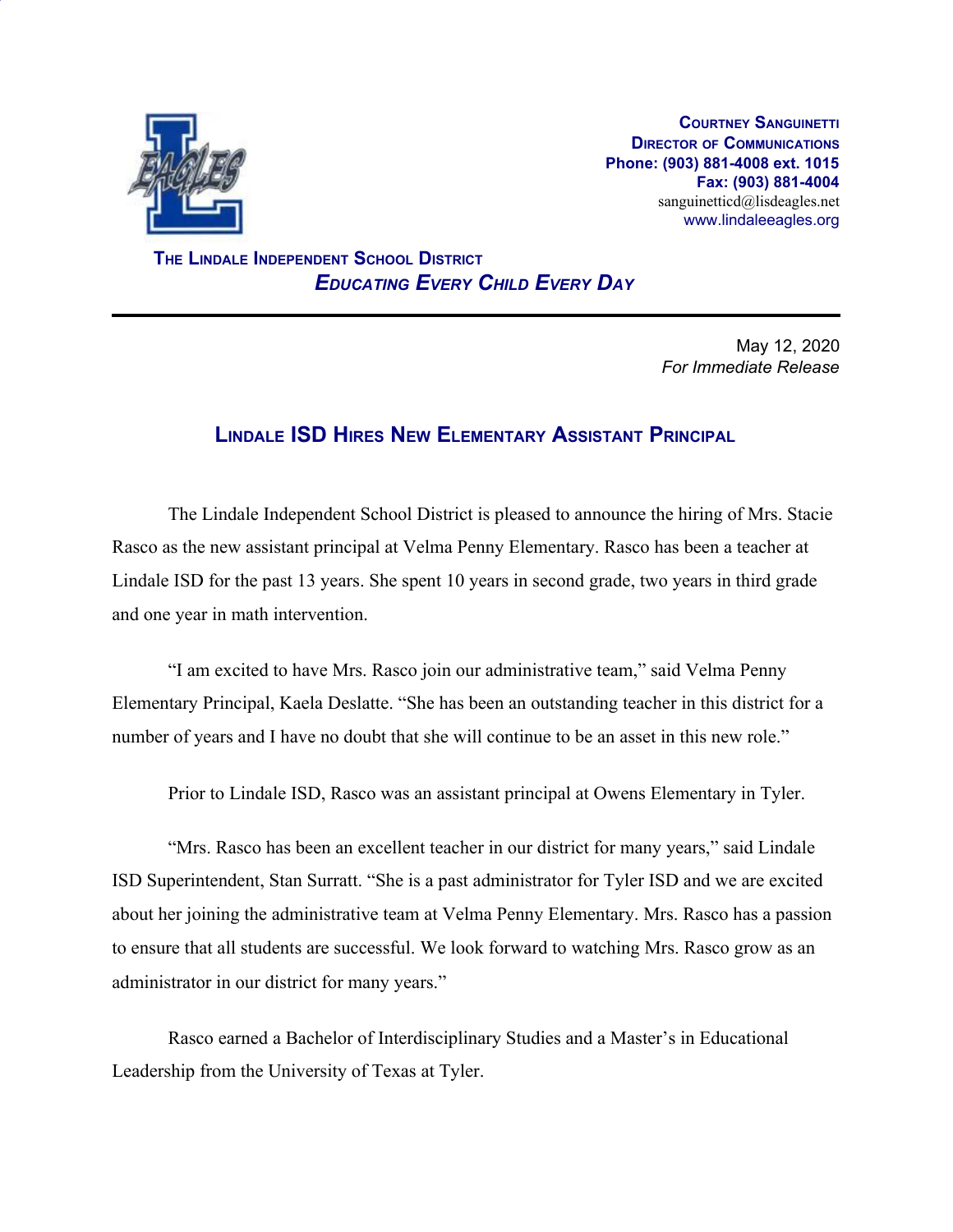

**COURTNEY SANGUINETTI DIRECTOR OF COMMUNICATIONS Phone: (903) 881-4008 ext. 1015 Fax: (903) 881-4004** sanguinetticd@lisdeagles.net www.lindaleeagles.org

 **THE LINDALE INDEPENDENT SCHOOL DISTRICT** *EDUCATING EVERY CHILD EVERY DAY*

> May 12, 2020 *For Immediate Release*

## **LINDALE ISD HIRES NEW ELEMENTARY ASSISTANT PRINCIPAL**

The Lindale Independent School District is pleased to announce the hiring of Mrs. Stacie Rasco as the new assistant principal at Velma Penny Elementary. Rasco has been a teacher at Lindale ISD for the past 13 years. She spent 10 years in second grade, two years in third grade and one year in math intervention.

"I am excited to have Mrs. Rasco join our administrative team," said Velma Penny Elementary Principal, Kaela Deslatte. "She has been an outstanding teacher in this district for a number of years and I have no doubt that she will continue to be an asset in this new role."

Prior to Lindale ISD, Rasco was an assistant principal at Owens Elementary in Tyler.

"Mrs. Rasco has been an excellent teacher in our district for many years," said Lindale ISD Superintendent, Stan Surratt. "She is a past administrator for Tyler ISD and we are excited about her joining the administrative team at Velma Penny Elementary. Mrs. Rasco has a passion to ensure that all students are successful. We look forward to watching Mrs. Rasco grow as an administrator in our district for many years."

Rasco earned a Bachelor of Interdisciplinary Studies and a Master's in Educational Leadership from the University of Texas at Tyler.